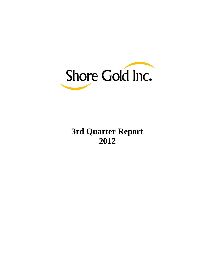

# **3rd Quarter Report 2012**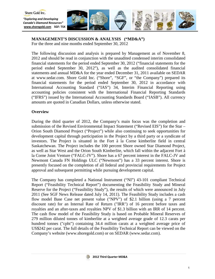

# **MANAGEMENT'S DISCUSSION & ANALYSIS ("MD&A")**

For the three and nine months ended September 30, 2012

The following discussion and analysis is prepared by Management as of November 8, 2012 and should be read in conjunction with the unaudited condensed interim consolidated financial statements for the period ended September 30, 2012 ("financial statements for the period ended September 30, 2012"), as well as the audited consolidated financial statements and annual MD&A for the year ended December 31, 2011 available on SEDAR at [www.sedar.com.](http://www.sedar.com/) Shore Gold Inc. ("Shore", "SGF", or "the Company") prepared its financial statements for the period ended September 30, 2012 in accordance with International Accounting Standard ("IAS") 34, Interim Financial Reporting using accounting policies consistent with the International Financial Reporting Standards ("IFRS") issued by the International Accounting Standards Board ("IASB"). All currency amounts are quoted in Canadian Dollars, unless otherwise stated.

# **Overview**

During the third quarter of 2012, the Company's main focus was the completion and submission of the Revised Environmental Impact Statement ("Revised EIS") for the Star – Orion South Diamond Project ("Project") while also continuing to seek opportunities for development capital through participation in the Project by a third party or a syndicate of investors. The Project is situated in the Fort à la Corne kimberlite field in central Saskatchewan. The Project includes the 100 percent Shore owned Star Diamond Project, as well as Star West and the Orion South Kimberlite, which fall within the adjacent Fort à la Corne Joint Venture ("FALC-JV"). Shore has a 67 percent interest in the FALC-JV and Newmont Canada FN Holdings ULC ("Newmont") has a 33 percent interest. Shore is presently focused on the completion of all federal and provincial requirements for Project approval and subsequent permitting while pursuing development capital.

The Company has completed a National Instrument ("NI") 43-101 compliant Technical Report ("Feasibility Technical Report") documenting the Feasibility Study and Mineral Reserve for the Project ("Feasibility Study"), the results of which were announced in July 2011 (See SGF News Release dated July 14, 2011). The Feasibility Study includes a cash flow model Base Case net present value ("NPV") of \$2.1 billion (using a 7 percent discount rate) for an Internal Rate of Return ("IRR") of 16 percent before taxes and royalties and an after-taxes and royalties NPV of \$1.3 billion with an IRR of 14 percent. The cash flow model of the Feasibility Study is based on Probable Mineral Reserves of 279 million diluted tonnes of kimberlite at a weighted average grade of 12.3 carats per hundred tonnes ("cpht") containing 34.4 million carats at a weighted average price of US\$242 per carat. The full details of the Feasibility Technical Report can be viewed on the Company's website (www.shoregold.com) or on SEDAR (www.sedar.com).

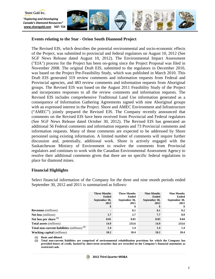

## **Events relating to the Star - Orion South Diamond Project**

The Revised EIS, which describes the potential environmental and socio-economic effects of the Project, was submitted to provincial and federal regulators on August 10, 2012 (See SGF News Release dated August 10, 2012). The Environmental Impact Assessment ("EIA") process for the Project has been on-going since the Project Proposal was filed in November 2008. The original Draft EIS, submitted to the regulators in December 2010, was based on the Project Pre-Feasibility Study, which was published in March 2010. This Draft EIS generated 319 review comments and information requests from Federal and Provincial agencies, and 483 review comments and information requests from Aboriginal groups. The Revised EIS was based on the August 2011 Feasibility Study of the Project and incorporates responses to all the review comments and information requests. The Revised EIS includes comprehensive Traditional Land Use information generated as a consequence of Information Gathering Agreements signed with nine Aboriginal groups with an expressed interest in the Project. Shore and AMEC Environment and Infrastructure ("AMEC") jointly prepared the Revised EIS. The Company recently announced that comments on the Revised EIS have been received from Provincial and Federal regulators (See SGF News Release dated October 30, 2012). The Revised EIS has generated an additional 56 Federal comments and information requests and 73 Provincial comments and information requests. Many of these comments are expected to be addressed by Shore personnel using existing information. A limited number of comments will require further discussion and, potentially, additional work. Shore is actively engaged with the Saskatchewan Ministry of Environment to resolve the comments from Provincial regulators and continues to work with the Canadian Environmental Assessment Agency to resolve their additional comments given that there are no specific federal regulations in place for diamond mines.

## **Financial Highlights**

Select financial information of the Company for the three and nine month periods ended September 30, 2012 and 2011 is summarized as follows:

|                                                | <b>Three Months</b><br><b>Ended</b><br>September 30,<br>2012<br>\$ | <b>Three Months</b><br><b>Ended</b><br>September 30,<br>2011<br>\$ | <b>Nine Months</b><br><b>Ended</b><br>September 30,<br>2012<br>\$ | <b>Nine Months</b><br><b>Ended</b><br>September 30,<br>2011 |
|------------------------------------------------|--------------------------------------------------------------------|--------------------------------------------------------------------|-------------------------------------------------------------------|-------------------------------------------------------------|
| <b>Revenues</b> (millions)                     | $\blacksquare$                                                     | 0.1                                                                | 0.1                                                               | 0.2                                                         |
| <b>Net loss</b> (millions)                     | 1.7                                                                | 2.7                                                                | 7.7                                                               | 8.0                                                         |
| Net loss per share (1)                         | 0.01                                                               | 0.01                                                               | 0.03                                                              | 0.04                                                        |
| <b>Total assets</b> (millions)                 | 14.9                                                               | 233.6                                                              | 14.9                                                              | 233.6                                                       |
| Total non-current liabilities (millions) $(2)$ | 1.4                                                                | 1.4                                                                | 1.4                                                               | 1.4                                                         |
| <b>Working capital</b> (millions)              | 10.2                                                               | 18.4                                                               | 10.2                                                              | 18.4                                                        |

**(1) Basic and diluted.**

**(2) Total non-current liabilities are comprised of environmental rehabilitation provisions for which the Company has provided letters of credit, backed by short-term securities that are recorded on the Company's financial statements as restricted cash.**

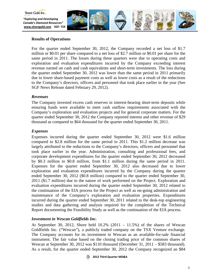

# **Results of Operations**

For the quarter ended September 30, 2012, the Company recorded a net loss of \$1.7 million or \$0.01 per share compared to a net loss of \$2.7 million or \$0.01 per share for the same period in 2011. The losses during these quarters were due to operating costs and exploration and evaluation expenditures incurred by the Company exceeding interest revenue earned on cash and cash equivalents and short-term investments. The loss during the quarter ended September 30, 2012 was lower than the same period in 2011 primarily due to lower share-based payment costs as well as lower costs as a result of the reductions to the Company's directors, officers and personnel that took place earlier in the year (See SGF News Release dated February 29, 2012).

# *Revenues*

The Company invested excess cash reserves in interest-bearing short-term deposits while ensuring funds were available to meet cash outflow requirements associated with the Company's exploration and evaluation projects and for general corporate matters. For the quarter ended September 30, 2012 the Company reported interest and other revenue of \$29 thousand as compared to \$64 thousand for the quarter ended September 30, 2011.

## *Expenses*

Expenses incurred during the quarter ended September 30, 2012 were \$1.6 million compared to \$2.8 million for the same period in 2011. This \$1.2 million decrease was largely attributed to the reductions to the Company's directors, officers and personnel that took place earlier in the year. Administration, consulting and professional fees, and corporate development expenditures for the quarter ended September 30, 2012 decreased by \$0.3 million to \$0.8 million, from \$1.1 million during the same period in 2011. Expenses for the quarter ended September 30, 2012 also decreased due to lower exploration and evaluation expenditures incurred by the Company during the quarter ended September 30, 2012 (\$0.8 million) compared to the quarter ended September 30, 2011 (\$1.7 million) due to the nature of work performed on the Project. Exploration and evaluation expenditures incurred during the quarter ended September 30, 2012 related to the continuation of the EIA process for the Project as well as on-going administration and maintenance of the Company's exploration and evaluation properties. Expenditures incurred during the quarter ended September 30, 2011 related to the desk-top engineering studies and data gathering and analysis required for the completion of the Technical Report documenting the Feasibility Study as well as the continuation of the EIA process.

# *Investment in Wescan Goldfields Inc.*

At September 30, 2012, Shore held 10.2% (2011 – 11.5%) of the shares of Wescan Goldfields Inc. ("Wescan"), a publicly traded company on the TSX Venture exchange. The Company accounts for its investment in Wescan as an available-for-sale financial instrument. The fair value based on the closing trading price of the common shares of Wescan at September 30, 2012 was \$110 thousand (December 31, 2011 – \$583 thousand). As a result, for the quarter ended September 30, 2012 the Company recognized an \$84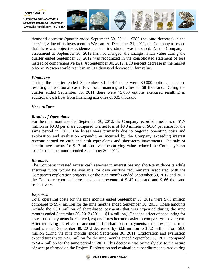

thousand decrease (quarter ended September 30, 2011 – \$388 thousand decrease) in the carrying value of its investment in Wescan. At December 31, 2011, the Company assessed that there was objective evidence that this investment was impaired. As the Company's assessment at September 30, 2012 has not changed, the change in fair value during the quarter ended September 30, 2012 was recognized in the consolidated statement of loss instead of comprehensive loss. At September 30, 2012, a 10 percent decrease in the market price of Wescan would result in an \$11 thousand decrease in fair value.

# *Financing*

Shore Gold Inc.

During the quarter ended September 30, 2012 there were 30,000 options exercised resulting in additional cash flow from financing activities of \$8 thousand. During the quarter ended September 30, 2011 there were 75,000 options exercised resulting in additional cash flow from financing activities of \$35 thousand.

# **Year to Date**

# *Results of Operations*

For the nine months ended September 30, 2012, the Company recorded a net loss of \$7.7 million or \$0.03 per share compared to a net loss of \$8.0 million or \$0.04 per share for the same period in 2011. The losses were primarily due to ongoing operating costs and exploration and evaluation expenditures incurred by the Company exceeding interest revenue earned on cash and cash equivalents and short-term investments. The sale of certain investments for \$1.3 million over the carrying value reduced the Company's net loss for the nine months ended September 30, 2011.

# *Revenues*

The Company invested excess cash reserves in interest bearing short-term deposits while ensuring funds would be available for cash outflow requirements associated with the Company's exploration projects. For the nine months ended September 30, 2012 and 2011 the Company reported interest and other revenue of \$147 thousand and \$166 thousand respectively.

# *Expenses*

Total operating costs for the nine months ended September 30, 2012 were \$7.3 million compared to \$9.4 million for the nine months ended September 30, 2011. These amounts include the \$0.1 million of share-based payments that was expensed during the nine months ended September 30, 2012 (2011 – \$1.4 million). Once the effect of accounting for share-based payments is removed, expenditures become easier to compare year over year. After removing the effect of accounting for share-based payments, expenses for the nine months ended September 30, 2012 decreased by \$0.8 million to \$7.2 million from \$8.0 million during the nine months ended September 30, 2011. Exploration and evaluation expenditures were \$3.6 million for the nine months ended September 30, 2012 compared to \$4.4 million for the same period in 2011. This decrease was primarily due to the nature of work performed on the Project. Exploration and evaluation expenditures incurred during

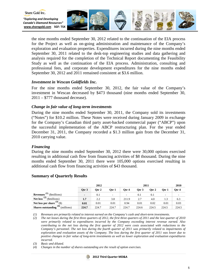

the nine months ended September 30, 2012 related to the continuation of the EIA process for the Project as well as on-going administration and maintenance of the Company's exploration and evaluation properties. Expenditures incurred during the nine months ended September 30, 2011 related to the desk-top engineering studies and data gathering and analysis required for the completion of the Technical Report documenting the Feasibility Study as well as the continuation of the EIA process. Administration, consulting and professional fees, and corporate development expenditures for the nine months ended September 30, 2012 and 2011 remained consistent at \$3.6 million.

## *Investment in Wescan Goldfields Inc.*

For the nine months ended September 30, 2012, the fair value of the Company's investment in Wescan decreased by \$473 thousand (nine months ended September 30,  $2011 - $777$  thousand decrease).

## *Change in fair value of long-term investments*

During the nine months ended September 30, 2011, the Company sold its investments ("Notes") for \$10.2 million. These Notes were received during January 2009 in exchange for the Company's Canadian third party asset-backed commercial paper ("ABCP") upon the successful implementation of the ABCP restructuring plan. For the year ended December 31, 2011, the Company recorded a \$1.3 million gain from the December 31, 2010 carrying value.

## *Financing*

During the nine months ended September 30, 2012 there were 30,000 options exercised resulting in additional cash flow from financing activities of \$8 thousand. During the nine months ended September 30, 2011 there were 105,000 options exercised resulting in additional cash flow from financing activities of \$43 thousand.

|                                             | 2012                     |         |                          | 2011  |         |       |       | 2010  |
|---------------------------------------------|--------------------------|---------|--------------------------|-------|---------|-------|-------|-------|
|                                             | Otr $3$                  | Otr $2$ | $O$ tr 1                 | Otr 4 | Otr $3$ | Otr 2 | Otr 1 | Otr 4 |
| <b>Revenues</b> <sup>(1)</sup> (\$millions) | $\overline{\phantom{a}}$ | 0.1     | $\overline{\phantom{a}}$ |       | 0.1     | 0.1   | -     | -     |
| Net loss <sup>(2)</sup> (\$millions)        | 1.7                      | 2.2     | 3.8                      | 211.9 | 2.7     | 4.0   | 1.3   | 6.3   |
| Net loss per share $(3)(\$)$                | 0.01                     | 0.01    | 0.01                     | 0.94  | 0.01    | 0.02  | 0.01  | 0.03  |
| $(4)$ (millions)<br>Shares outstanding      | 224.7                    | 224.7   | 224.7                    | 224.7 | 224.6   | 224.5 | 224.5 | 224.5 |

## **Summary of Quarterly Results**

*(1) Revenues are primarily related to interest earned on the Company's cash and short-term investments.* 

*(2) The net losses during the first three quarters of 2012, the first three quarters of 2011 and the last quarter of 2010 were primarily related to expenditures incurred by the Company exceeding interest revenue earned. Also contributing to the net loss during the first quarter of 2012 were costs associated with reductions to the Company's personnel. The net loss during the fourth quarter of 2011 was primarily related to impairments of exploration and evaluation assets of the Company. The loss during the first quarter of 2011 was lower due to positive changes in fair value of long-term investments as well as lower exploration and evaluation expenditures incurred.* 

*(3) Basic and diluted.*

*(4) Changes in the number of shares outstanding are the result of option exercises.*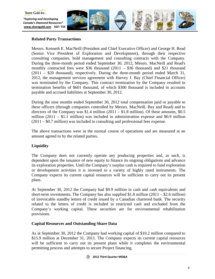

# **Related Party Transactions**

Messrs. Kenneth E. MacNeill (President and Chief Executive Officer) and George H. Read (Senior Vice President of Exploration and Development), through their respective consulting companies, hold management and consulting contracts with the Company. During the three-month period ended September 30, 2012, Messrs. MacNeill and Read's monthly contracted fees were \$36 thousand  $(2011 - $36$  thousand) and \$21 thousand (2011 – \$20 thousand), respectively. During the three-month period ended March 31, 2012, the management services agreement with Harvey J. Bay (Chief Financial Officer) was terminated by the Company. This contract termination by the Company resulted in termination benefits of \$601 thousand, of which \$300 thousand is included in accounts payable and accrued liabilities at September 30, 2012.

During the nine months ended September 30, 2012 total compensation paid or payable to these officers (through companies controlled by Messrs. MacNeill, Bay and Read) and to directors of the Company was \$1.4 million  $(2011 - $1.8$  million). Of these amounts, \$0.5 million  $(2011 - $1.1$  million) was included in administration expense and \$0.9 million (2011 – \$0.7 million) was included in consulting and professional fees expense.

The above transactions were in the normal course of operations and are measured at an amount agreed to by the related parties.

# **Liquidity**

The Company does not currently operate any producing properties and, as such, is dependent upon the issuance of new equity to finance its ongoing obligations and advance its exploration properties. Until the Company's surplus cash is required to fund exploration or development activities it is invested in a variety of highly rated instruments. The Company expects its current capital resources will be sufficient to carry out its present plans.

At September 30, 2012 the Company had \$9.9 million in cash and cash equivalents and short-term investments. The Company has also supplied \$1.8 million  $(2011 - $2.6$  million) of irrevocable standby letters of credit issued by a Canadian chartered bank. The security related to the letters of credit is included in restricted cash and excluded from the Company's working capital. These securities are for environmental rehabilitation provisions.

# **Capital Resources and Outstanding Share Data**

As at September 30, 2012 the Company had working capital of \$10.2 million compared to \$15.9 million at December 31, 2011. The Company expects its current capital resources will be sufficient to carry out its present plans while it completes the environmental permitting process and attempts to secure Project financing.

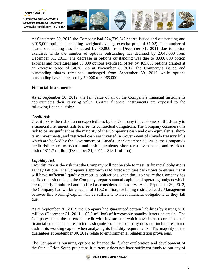

At September 30, 2012 the Company had 224,739,242 shares issued and outstanding and 8,915,000 options outstanding (weighted average exercise price of \$1.02). The number of shares outstanding has increased by 30,000 from December 31, 2011 due to option exercises while the number of options outstanding has declined by 2,645,000 from December 31, 2011. The decrease in options outstanding was due to 3,080,000 option expiries and forfeitures and 30,000 options exercised, offset by 465,000 options granted at an exercise price of \$0.28. As at November 8, 2012, the Company's issued and outstanding shares remained unchanged from September 30, 2012 while options outstanding have increased by 50,000 to 8,965,000

# **Financial Instruments**

As at September 30, 2012, the fair value of all of the Company's financial instruments approximates their carrying value. Certain financial instruments are exposed to the following financial risks:

# *Credit risk*

Credit risk is the risk of an unexpected loss by the Company if a customer or third-party to a financial instrument fails to meet its contractual obligations. The Company considers this risk to be insignificant as the majority of the Company's cash and cash equivalents, shortterm investments, and restricted cash are invested in Government of Canada treasury bills which are backed by the Government of Canada. At September 30, 2012, the Company's credit risk relates to its cash and cash equivalents, short-term investments, and restricted cash of \$11.7 million (December 31, 2011 – \$18.1 million).

# *Liquidity risk*

Liquidity risk is the risk that the Company will not be able to meet its financial obligations as they fall due. The Company's approach is to forecast future cash flows to ensure that it will have sufficient liquidity to meet its obligations when due. To ensure the Company has sufficient cash on hand, the Company prepares annual capital and operating budgets which are regularly monitored and updated as considered necessary. As at September 30, 2012, the Company had working capital of \$10.2 million, excluding restricted cash. Management believes this working capital will be sufficient to meet financial obligations as they fall due.

As at September 30, 2012, the Company had guaranteed certain liabilities by issuing \$1.8 million (December 31, 2011 – \$2.6 million) of irrevocable standby letters of credit. The Company backs the letters of credit with investments which have been recorded on the financial statements as restricted cash (note 6). The Company does not include restricted cash in its working capital when analyzing its liquidity requirements. The majority of the guarantees at September 30, 2012 relate to environmental rehabilitation provisions.

The Company is pursuing options to finance the further exploration and development of the Star – Orion South project as it currently does not have sufficient funds to put any of

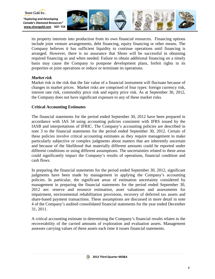

its property interests into production from its own financial resources. Financing options include joint venture arrangements, debt financing, equity financing or other means. The Company believes it has sufficient liquidity to continue operations until financing is arranged. However, there is no assurance that Shore will be successful in obtaining required financing as and when needed. Failure to obtain additional financing on a timely basis may cause the Company to postpone development plans, forfeit rights in its properties or joint operations or reduce or terminate its operations.

# *Market risk*

Shore Gold Inc.

Market risk is the risk that the fair value of a financial instrument will fluctuate because of changes in market prices. Market risks are comprised of four types: foreign currency risk, interest rate risk, commodity price risk and equity price risk. As at September 30, 2012, the Company does not have significant exposure to any of these market risks.

## **Critical Accounting Estimates**

The financial statements for the period ended September 30, 2012 have been prepared in accordance with IAS 34 using accounting policies consistent with IFRS issued by the IASB and interpretations of IFRIC. The Company's accounting policies are described in note 3 to the financial statements for the period ended September 30, 2012. Certain of these policies involve critical accounting estimates as they require management to make particularly subjective or complex judgments about matters that are inherently uncertain and because of the likelihood that materially different amounts could be reported under different conditions or using different assumptions. The uncertainties related to these areas could significantly impact the Company's results of operations, financial condition and cash flows.

In preparing the financial statements for the period ended September 30, 2012, significant judgments have been made by management in applying the Company's accounting policies. In particular, the significant areas of estimation uncertainty considered by management in preparing the financial statements for the period ended September 30, 2012 are: reserve and resource estimation, asset valuations and assessments for impairment, environmental rehabilitation provisions, recovery of deferred tax assets and share-based payment transactions. These assumptions are discussed in more detail in note 4 of the Company's audited consolidated financial statements for the year ended December 31, 2011.

A critical accounting estimate in determining the Company's financial results relates to the recoverability of the carried amounts of exploration and evaluation assets. Management assesses carrying values of these assets each time it issues financial statements.

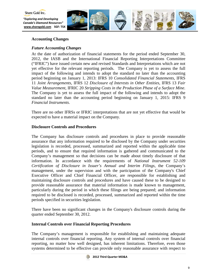

*"Exploring and Developing Canada's Diamond Resources"* **[www.shoregold.com](http://www.shoregold.comm/) SGF: TSX** 



# **Accounting Changes**

# *Future Accounting Changes*

At the date of authorization of financial statements for the period ended September 30, 2012, the IASB and the International Financial Reporting Interpretations Committee ("IFRIC") have issued certain new and revised Standards and Interpretations which are not yet effective for the relevant reporting periods. The Company is yet to assess the full impact of the following and intends to adopt the standard no later than the accounting period beginning on January 1, 2013: IFRS 10 *Consolidated Financial Statements*, IFRS 11 *Joint Arrangements*, IFRS 12 *Disclosure of Interests in Other Entities*, IFRS 13 *Fair Value Measurement*, IFRIC 20 *Stripping Costs in the Production Phase of a Surface Mine*. The Company is yet to assess the full impact of the following and intends to adopt the standard no later than the accounting period beginning on January 1, 2015: IFRS 9 *Financial Instruments*.

There are no other IFRSs or IFRIC interpretations that are not yet effective that would be expected to have a material impact on the Company.

# **Disclosure Controls and Procedures**

The Company has disclosure controls and procedures in place to provide reasonable assurance that any information required to be disclosed by the Company under securities legislation is recorded, processed, summarized and reported within the applicable time periods, and to ensure that required information is gathered and communicated to the Company's management so that decisions can be made about timely disclosure of that information. In accordance with the requirements of *National Instrument 52-109 Certification of Disclosure in Issuer's Annual and Interim Filings*, the Company's management, under the supervision and with the participation of the Company's Chief Executive Officer and Chief Financial Officer, are responsible for establishing and maintaining disclosure controls and procedures and have caused these to be designed to provide reasonable assurance that material information is made known to management, particularly during the period in which these filings are being prepared; and information required to be disclosed is recorded, processed, summarized and reported within the time periods specified in securities legislation.

There have been no significant changes in the Company's disclosure controls during the quarter ended September 30, 2012.

# **Internal Controls over Financial Reporting Procedures**

The Company's management is responsible for establishing and maintaining adequate internal controls over financial reporting. Any system of internal controls over financial reporting, no matter how well designed, has inherent limitations. Therefore, even those systems determined to be effective can provide only reasonable assurance with respect to

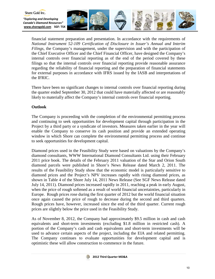

financial statement preparation and presentation. In accordance with the requirements of *National Instrument 52-109 Certification of Disclosure in Issuer's Annual and Interim Filings*, the Company's management, under the supervision and with the participation of the Chief Executive Officer and the Chief Financial Officer, have designed the Company's internal controls over financial reporting as of the end of the period covered by these filings so that the internal controls over financial reporting provide reasonable assurance regarding the reliability of financial reporting and the preparation of financial statements for external purposes in accordance with IFRS issued by the IASB and interpretations of the IFRIC.

There have been no significant changes to internal controls over financial reporting during the quarter ended September 30, 2012 that could have materially affected or are reasonably likely to materially affect the Company's internal controls over financial reporting.

# **Outlook**

The Company is proceeding with the completion of the environmental permitting process and continuing to seek opportunities for development capital through participation in the Project by a third party or a syndicate of investors. Measures taken earlier in the year will enable the Company to conserve its cash position and provide an extended operating window in which Shore can complete the environmental permitting process and continue to seek opportunities for development capital.

Diamond prices used in the Feasibility Study were based on valuations by the Company's diamond consultants, WWW International Diamond Consultants Ltd. using their February 2011 price book. The details of the February 2011 valuation of the Star and Orion South diamond parcels were published in Shore's News Release dated March 2, 2011. The results of the Feasibility Study show that the economic model is particularly sensitive to diamond prices and the Project's NPV increases rapidly with rising diamond prices, as shown in Table 4 of the Shore July 14, 2011 News Release (See SGF News Release dated July 14, 2011). Diamond prices increased rapidly in 2011, reaching a peak in early August, when the price of rough softened as a result of world financial uncertainties, particularly in Europe. Rough prices rose during the first quarter of 2012 but the world financial situation once again caused the price of rough to decrease during the second and third quarters. Rough prices have, however, increased since the end of the third quarter. Current rough prices are slightly below the price used in the Feasibility Study.

As of November 8, 2012, the Company had approximately \$9.5 million in cash and cash equivalents and short-term investments (excluding \$1.8 million in restricted cash). A portion of the Company's cash and cash equivalents and short-term investments will be used to advance certain aspects of the project, including the EIA and related permitting. The Company continues to evaluate opportunities for development capital and is optimistic these will allow construction to commence in the future.

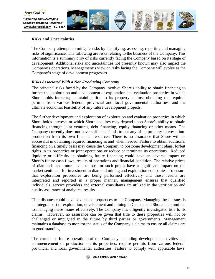

# **Risks and Uncertainties**

The Company attempts to mitigate risks by identifying, assessing, reporting and managing risks of significance. The following are risks relating to the business of the Company. This information is a summary only of risks currently facing the Company based on its stage of development. Additional risks and uncertainties not presently known may also impact the Company's operations. Management's view on risks facing the Company will evolve as the Company's stage of development progresses.

# *Risks Associated With a Non-Producing Company*

The principal risks faced by the Company involve: Shore's ability to obtain financing to further the exploration and development of exploration and evaluation properties in which Shore holds interests; maintaining title to its property claims; obtaining the required permits from various federal, provincial and local governmental authorities; and the ultimate economic feasibility of any future development projects.

The further development and exploration of exploration and evaluation properties in which Shore holds interests or which Shore acquires may depend upon Shore's ability to obtain financing through joint ventures, debt financing, equity financing or other means. The Company currently does not have sufficient funds to put any of its property interests into production from its own financial resources. There is no assurance that Shore will be successful in obtaining required financing as and when needed. Failure to obtain additional financing on a timely basis may cause the Company to postpone development plans, forfeit rights in its properties or joint operations or reduce or terminate its operations. Reduced liquidity or difficulty in obtaining future financing could have an adverse impact on Shore's future cash flows, results of operations and financial condition. The relative prices of diamonds and future expectations for such prices have a significant impact on the market sentiment for investment in diamond mining and exploration companies. To ensure that exploration procedures are being performed effectively and those results are interpreted and reported in a proper manner, management ensures that qualified individuals, service providers and external consultants are utilized in the verification and quality assurance of analytical results.

Title disputes could have adverse consequences to the Company. Managing these issues is an integral part of exploration, development and mining in Canada and Shore is committed to managing these issues effectively. The Company has diligently investigated title to its claims. However, no assurance can be given that title to these properties will not be challenged or impugned in the future by third parties or governments. Management maintains a database to monitor the status of the Company's claims to ensure all claims are in good standing.

The current or future operations of the Company, including development activities and commencement of production on its properties, require permits from various federal, provincial and local governmental authorities. Failure to comply with applicable laws,

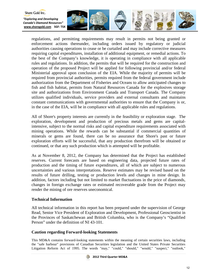

regulations, and permitting requirements may result in permits not being granted or enforcement actions thereunder, including orders issued by regulatory or judicial authorities causing operations to cease or be curtailed and may include corrective measures requiring capital expenditures, installation of additional equipment, or remedial actions. To the best of the Company's knowledge, it is operating in compliance with all applicable rules and regulations. In addition, the permits that will be required for the construction and operation of the proposed Project will be applied for following provincial and/or federal Ministerial approval upon conclusion of the EIA. While the majority of permits will be required from provincial authorities, permits required from the federal government include authorization from the Department of Fisheries and Oceans to allow anticipated changes to fish and fish habitat, permits from Natural Resources Canada for the explosives storage site and authorizations from Environment Canada and Transport Canada. The Company utilizes qualified individuals, service providers and external consultants and maintains constant communications with governmental authorities to ensure that the Company is or, in the case of the EIA, will be in compliance with all applicable rules and regulations.

All of Shore's property interests are currently in the feasibility or exploration stage. The exploration, development and production of precious metals and gems are capitalintensive, subject to the normal risks and capital expenditure requirements associated with mining operations. While the rewards can be substantial if commercial quantities of minerals or gems are found, there can be no assurance that Shore's past or future exploration efforts will be successful, that any production therefrom will be obtained or continued, or that any such production which is attempted will be profitable.

As at November 8, 2012, the Company has determined that the Project has established reserves. Current forecasts are based on engineering data, projected future rates of production and the timing of future expenditures, all of which are subject to numerous uncertainties and various interpretations. Reserve estimates may be revised based on the results of future drilling, testing or production levels and changes in mine design. In addition, factors including but not limited to market fluctuations in the price of diamonds, changes in foreign exchange rates or estimated recoverable grade from the Project may render the mining of ore reserves uneconomical.

# **Technical Information**

Shore Gold Inc.

All technical information in this report has been prepared under the supervision of George Read, Senior Vice President of Exploration and Development, Professional Geoscientist in the Provinces of Saskatchewan and British Columbia, who is the Company's "Qualified Person" under the definition of NI 43-101.

## **Caution regarding Forward-looking Statements**

This MD&A contains forward-looking statements within the meaning of certain securities laws, including the "safe harbour" provisions of Canadian Securities legislation and the United States Private Securities Litigation Reform Act of 1995. The words "may," "could," "should," "would," "suspect," "outlook,"

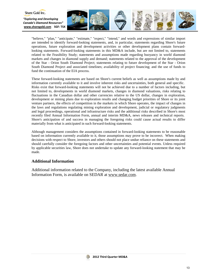

"believe," "plan," "anticipate," "estimate," "expect," "intend," and words and expressions of similar import are intended to identify forward-looking statements, and, in particular, statements regarding Shore's future operations, future exploration and development activities or other development plans contain forwardlooking statements. Forward-looking statements in this MD&A include, but are not limited to, statements related to the Feasibility Study; statements and assumptions made regarding buoyancy in world diamond markets and changes in diamond supply and demand; statements related to the approval of the development of the Star - Orion South Diamond Project; statements relating to future development of the Star - Orion South Diamond Project and associated timelines; availability of project financing; and the use of funds to fund the continuation of the EIA process.

These forward-looking statements are based on Shore's current beliefs as well as assumptions made by and information currently available to it and involve inherent risks and uncertainties, both general and specific. Risks exist that forward-looking statements will not be achieved due to a number of factors including, but not limited to, developments in world diamond markets, changes in diamond valuations, risks relating to fluctuations in the Canadian dollar and other currencies relative to the US dollar, changes in exploration, development or mining plans due to exploration results and changing budget priorities of Shore or its joint venture partners, the effects of competition in the markets in which Shore operates, the impact of changes in the laws and regulations regulating mining exploration and development, judicial or regulatory judgments and legal proceedings, operational and infrastructure risks and the additional risks described in Shore's most recently filed Annual Information Form, annual and interim MD&A, news releases and technical reports. Shore's anticipation of and success in managing the foregoing risks could cause actual results to differ materially from what is anticipated in such forward-looking statements.

Although management considers the assumptions contained in forward-looking statements to be reasonable based on information currently available to it, those assumptions may prove to be incorrect. When making decisions with respect to Shore, investors and others should not place undue reliance on these statements and should carefully consider the foregoing factors and other uncertainties and potential events. Unless required by applicable securities law, Shore does not undertake to update any forward-looking statement that may be made.

## **Additional Information**

Additional information related to the Company, including the latest available Annual Information Form, is available on SEDAR at www.sedar.com.

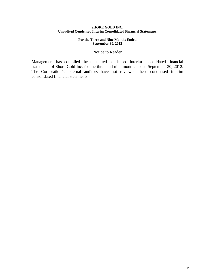## **SHORE GOLD INC. Unaudited Condensed Interim Consolidated Financial Statements**

## **For the Three and Nine Months Ended September 30, 2012**

## Notice to Reader

Management has compiled the unaudited condensed interim consolidated financial statements of Shore Gold Inc. for the three and nine months ended September 30, 2012. The Corporation's external auditors have not reviewed these condensed interim consolidated financial statements.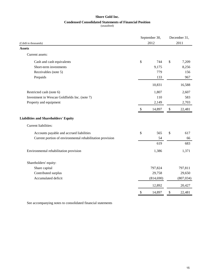## **Shore Gold Inc.**

## **Condensed Consolidated Statements of Financial Position**

(unaudited)

|                                                           | September 30, | December 31, |            |  |
|-----------------------------------------------------------|---------------|--------------|------------|--|
| (Cdn\$ in thousands)                                      | 2012          | 2011         |            |  |
| <b>Assets</b>                                             |               |              |            |  |
| Current assets:                                           |               |              |            |  |
| Cash and cash equivalents                                 | \$<br>744     | \$           | 7,209      |  |
| Short-term investments                                    | 9,175         |              | 8,256      |  |
| Receivables (note 5)                                      | 779           |              | 156        |  |
| Prepaids                                                  | 133           |              | 967        |  |
|                                                           | 10,831        |              | 16,588     |  |
| Restricted cash (note 6)                                  | 1,807         |              | 2,607      |  |
| Investment in Wescan Goldfields Inc. (note 7)             | 110           |              | 583        |  |
| Property and equipment                                    | 2,149         |              | 2,703      |  |
|                                                           | \$<br>14,897  | \$           | 22,481     |  |
| <b>Liabilities and Shareholders' Equity</b>               |               |              |            |  |
| Current liabilities:                                      |               |              |            |  |
| Accounts payable and accrued liabilities                  | \$<br>565     | \$           | 617        |  |
| Current portion of environmental rehabilitation provision | 54            |              | 66         |  |
|                                                           | 619           |              | 683        |  |
| Environmental rehabilitation provision                    | 1,386         |              | 1,371      |  |
| Shareholders' equity:                                     |               |              |            |  |
| Share capital                                             | 797,824       |              | 797,811    |  |
| Contributed surplus                                       | 29,758        |              | 29,650     |  |
| Accumulated deficit                                       | (814, 690)    |              | (807, 034) |  |
|                                                           | 12,892        |              | 20,427     |  |
|                                                           | \$<br>14,897  | \$           | 22,481     |  |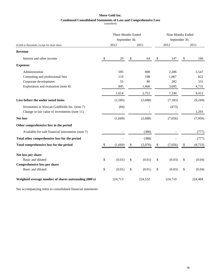## **Shore Gold Inc.**

# **Condensed Consolidated Statements of Loss and Comprehensive Loss**

(unaudited)

|                                                       | Three Months Ended        |               |    |         | Nine Months Ended         |               |    |          |
|-------------------------------------------------------|---------------------------|---------------|----|---------|---------------------------|---------------|----|----------|
|                                                       |                           | September 30, |    |         |                           | September 30, |    |          |
| (Cdn\$ in thousands, except for share data)           |                           | 2012          |    | 2011    |                           | 2012          |    | 2011     |
| <b>Revenue</b>                                        |                           |               |    |         |                           |               |    |          |
| Interest and other income                             | $\boldsymbol{\mathsf{S}}$ | 29            | \$ | 64      | $\boldsymbol{\mathbb{S}}$ | 147           | \$ | 166      |
| <b>Expenses</b>                                       |                           |               |    |         |                           |               |    |          |
| Administration                                        |                           | 595           |    | 808     |                           | 2,286         |    | 3,547    |
| Consulting and professional fees                      |                           | 119           |    | 198     |                           | 1,067         |    | 822      |
| Corporate development                                 |                           | 55            |    | 80      |                           | 282           |    | 315      |
| Exploration and evaluation (note 8)                   |                           | 845           |    | 1,666   |                           | 3,695         |    | 4,731    |
|                                                       |                           | 1,614         |    | 2,752   |                           | 7,330         |    | 9,415    |
| Loss before the under noted items                     |                           | (1,585)       |    | (2,688) |                           | (7, 183)      |    | (9,249)  |
| Investment in Wescan Goldfields Inc. (note 7)         |                           | (84)          |    |         |                           | (473)         |    |          |
| Change in fair value of investments (note 11)         |                           |               |    |         |                           |               |    | 1,293    |
| <b>Net loss</b>                                       |                           | (1,669)       |    | (2,688) |                           | (7,656)       |    | (7,956)  |
| Other comprehensive loss in the period                |                           |               |    |         |                           |               |    |          |
| Available-for-sale financial instruments (note 7)     |                           |               |    | (388)   |                           |               |    | (777)    |
| Total other comprehensive loss for the period         |                           |               |    | (388)   |                           |               |    | (777)    |
| Total comprehensive loss for the period               | \$                        | (1,669)       | \$ | (3,076) | \$                        | (7,656)       | \$ | (8, 733) |
| Net loss per share                                    |                           |               |    |         |                           |               |    |          |
| Basic and diluted                                     | \$                        | (0.01)        | \$ | (0.01)  | \$                        | (0.03)        | \$ | (0.04)   |
| <b>Comprehensive loss per share</b>                   |                           |               |    |         |                           |               |    |          |
| Basic and diluted                                     | \$                        | (0.01)        | \$ | (0.01)  | \$                        | (0.03)        | \$ | (0.04)   |
| Weighted average number of shares outstanding (000's) |                           | 224,713       |    | 224,532 |                           | 224,710       |    | 224,484  |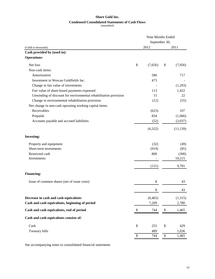## **Shore Gold Inc.**

## **Condensed Consolidated Statements of Cash Flows**

(unaudited)

|                                                                  | Nine Months Ended<br>September 30, |          |    |           |  |
|------------------------------------------------------------------|------------------------------------|----------|----|-----------|--|
|                                                                  |                                    |          |    |           |  |
| (Cdn\$ in thousands)                                             |                                    | 2012     |    | 2011      |  |
| Cash provided by (used in):                                      |                                    |          |    |           |  |
| <b>Operations:</b>                                               |                                    |          |    |           |  |
| Net loss                                                         | \$                                 | (7,656)  | \$ | (7,956)   |  |
| Non-cash items:                                                  |                                    |          |    |           |  |
| Amortization                                                     |                                    | 586      |    | 717       |  |
| Investment in Wescan Goldfields Inc.                             |                                    | 473      |    |           |  |
| Change in fair value of investments                              |                                    |          |    | (1,293)   |  |
| Fair value of share-based payments expensed                      |                                    | 113      |    | 1,422     |  |
| Unwinding of discount for environmental rehabilitation provision |                                    | 15       |    | 22        |  |
| Change in environmental rehabilitation provision                 |                                    | (12)     |    | (55)      |  |
| Net change in non-cash operating working capital items:          |                                    |          |    |           |  |
| Receivables                                                      |                                    | (623)    |    | 107       |  |
| Prepaids                                                         |                                    | 834      |    | (1,066)   |  |
| Accounts payable and accrued liabilities                         |                                    | (52)     |    | (3,037)   |  |
|                                                                  |                                    | (6,322)  |    | (11, 139) |  |
| <b>Investing:</b>                                                |                                    |          |    |           |  |
| Property and equipment                                           |                                    | (32)     |    | (49)      |  |
| Short-term investments                                           |                                    | (919)    |    | (85)      |  |
| Restricted cash                                                  |                                    | 800      |    | (300)     |  |
| Investments                                                      |                                    |          |    | 10,215    |  |
|                                                                  |                                    | (151)    |    | 9,781     |  |
| <b>Financing:</b>                                                |                                    |          |    |           |  |
| Issue of common shares (net of issue costs)                      |                                    | 8        |    | 43        |  |
|                                                                  |                                    | 8        |    | 43        |  |
| Decrease in cash and cash equivalents                            |                                    | (6, 465) |    | (1,315)   |  |
| Cash and cash equivalents, beginning of period                   |                                    | 7,209    |    | 2,780     |  |
| Cash and cash equivalents, end of period                         | \$                                 | 744      | \$ | 1,465     |  |
| Cash and cash equivalents consists of:                           |                                    |          |    |           |  |
| Cash                                                             | \$                                 | 255      | \$ | 429       |  |
| Treasury bills                                                   |                                    | 489      |    | 1,036     |  |
|                                                                  | \$                                 | 744      | \$ | 1,465     |  |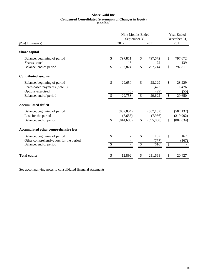# **Shore Gold Inc. Condensed Consolidated Statements of Changes in Equity**

(unaudited)

|                                                                                                              |               | Nine Months Ended<br>September 30,  |          |                                    |          |                                       |
|--------------------------------------------------------------------------------------------------------------|---------------|-------------------------------------|----------|------------------------------------|----------|---------------------------------------|
| (Cdn\$ in thousands)                                                                                         |               | 2012                                |          | 2011                               |          | 2011                                  |
| Share capital                                                                                                |               |                                     |          |                                    |          |                                       |
| Balance, beginning of period                                                                                 | \$            | 797,811                             | \$       | 797,672                            | \$       | 797,672                               |
| Shares issued<br>Balance, end of period                                                                      | \$            | 13<br>797,824                       | \$       | 72<br>797,744                      | \$       | 139<br>797,811                        |
| <b>Contributed surplus</b>                                                                                   |               |                                     |          |                                    |          |                                       |
| Balance, beginning of period<br>Share-based payments (note 9)<br>Options exercised<br>Balance, end of period | \$<br>\$      | 29,650<br>113<br>(5)<br>29,758      | \$<br>\$ | 28,229<br>1,422<br>(29)<br>29,622  | \$<br>\$ | 28,229<br>1,476<br>(55)<br>29,650     |
| <b>Accumulated deficit</b>                                                                                   |               |                                     |          |                                    |          |                                       |
| Balance, beginning of period<br>Loss for the period<br>Balance, end of period                                | <sup>\$</sup> | (807, 034)<br>(7,656)<br>(814, 690) | \$       | (587, 132)<br>(7,956)<br>(595,088) | \$       | (587, 132)<br>(219,902)<br>(807, 034) |
| <b>Accumulated other comprehensive loss</b>                                                                  |               |                                     |          |                                    |          |                                       |
| Balance, beginning of period<br>Other comprehensive loss for the period<br>Balance, end of period            | \$<br>\$      |                                     | \$<br>\$ | 167<br>(777)<br>(610)              | \$<br>\$ | 167<br>(167)                          |
| <b>Total equity</b>                                                                                          | \$            | 12,892                              | \$       | 231,668                            | \$       | 20,427                                |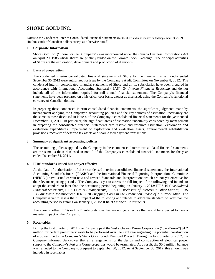# **SHORE GOLD INC.**

Notes to the Condensed Interim Consolidated Financial Statements (for the three and nine months ended September 30, 2012) (In thousands of Canadian dollars except as otherwise noted)

#### **1. Corporate Information**

Shore Gold Inc. ("Shore" or the "Company") was incorporated under the Canada Business Corporations Act on April 29, 1985 whose shares are publicly traded on the Toronto Stock Exchange. The principal activities of Shore are the exploration, development and production of diamonds.

#### **2. Basis of preparation**

The condensed interim consolidated financial statements of Shore for the three and nine months ended September 30, 2012 were authorized for issue by the Company's Audit Committee on November 8, 2012. The condensed interim consolidated financial statements of Shore and all its subsidiaries have been prepared in accordance with International Accounting Standard ("IAS") 34 *Interim Financial Reporting* and do not include all of the information required for full annual financial statements. The Company's financial statements have been prepared on a historical cost basis, except as disclosed, using the Company's functional currency of Canadian dollars.

In preparing these condensed interim consolidated financial statements, the significant judgments made by management applying the Company's accounting policies and the key sources of estimation uncertainty are the same as those disclosed in Note 4 of the Company's consolidated financial statements for the year ended December 31, 2011. In particular, the significant areas of estimation uncertainty considered by management in preparing the consolidated financial statements are: reserve and resource estimation, exploration and evaluation expenditures, impairment of exploration and evaluation assets, environmental rehabilitation provisions, recovery of deferred tax assets and share-based payment transactions.

#### **3. Summary of significant accounting policies**

The accounting policies applied by the Company in these condensed interim consolidated financial statements are the same as those disclosed in note 3 of the Company's consolidated financial statements for the year ended December 31, 2011.

## **4. IFRS standards issued but not yet effective**

At the date of authorization of these condensed interim consolidated financial statements, the International Accounting Standards Board ("IASB") and the International Financial Reporting Interpretations Committee ("IFRIC") have issued certain new and revised Standards and Interpretations which are not yet effective for the relevant reporting periods. The Company is yet to assess the full impact of the following and intends to adopt the standard no later than the accounting period beginning on January 1, 2013: IFRS 10 *Consolidated Financial Statements*, IFRS 11 *Joint Arrangements*, IFRS 12 *Disclosure of Interests in Other Entities*, IFRS 13 *Fair Value Measurement*, IFRIC 20 *Stripping Costs in the Production Phase of a Surface Mine*. The Company is yet to assess the full impact of the following and intends to adopt the standard no later than the accounting period beginning on January 1, 2015: IFRS 9 *Financial Instruments*.

There are no other IFRSs or IFRIC interpretations that are not yet effective that would be expected to have a material impact on the Company.

## **5. Receivables**

During the first quarter of 2011, the Company paid the Saskatchewan Power Corporation ("SaskPower") \$1.2 million for certain preliminary work to be performed over the next year regarding the potential construction of a power line to the Company's Star - Orion South Diamond Project. During the first quarter of 2012, the Company informed SaskPower that all arrangements for the design and construction of electrical power supply to the Company's Fort à la Corne properties would be terminated. As a result, the \$0.6 million balance was refunded to the Company subsequent to September 30, 2012. As at September 30, 2012, this amount was included in receivables.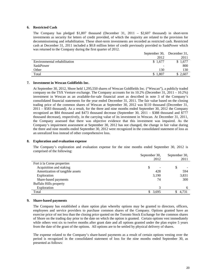## **6. Restricted Cash**

The Company has pledged \$1,807 thousand (December 31, 2011 – \$2,607 thousand) in short-term investments as security for letters of credit provided, of which the majority are related to the provision for decommissioning and rehabilitation. These short-term investments are recorded as restricted cash. Restricted cash at December 31, 2011 included a \$0.8 million letter of credit previously provided to SaskPower which was returned to the Company during the first quarter of 2012.

|                              | September 30, December 31, |          |
|------------------------------|----------------------------|----------|
|                              | 2012                       | 2011     |
| Environmental rehabilitation | \$1,677                    | 1,677    |
| SaskPower                    | -                          | 800      |
| Other                        | 130                        | 130      |
| Total                        | 1.807                      | \$ 2,607 |

#### **7. Investment in Wescan Goldfields Inc.**

At September 30, 2012, Shore held 1,295,550 shares of Wescan Goldfields Inc. ("Wescan"), a publicly traded company on the TSX Venture exchange. The Company accounts for its 10.2% (December 31, 2011 – 10.2%) investment in Wescan as an available-for-sale financial asset as described in note 3 of the Company's consolidated financial statements for the year ended December 31, 2011. The fair value based on the closing trading price of the common shares of Wescan at September 30, 2012 was \$110 thousand (December 31, 2011 – \$583 thousand). As a result, for the three and nine months ended September 30, 2012 the Company recognized an \$84 thousand and \$473 thousand decrease (September 30, 2011 – \$388 thousand and \$777 thousand decrease), respectively, in the carrying value of its investment in Wescan. At December 31, 2011, the Company assessed that there was objective evidence that this investment was impaired. As the Company's impairment assessment at September 30, 2012 has not changed, the change in fair value during the three and nine months ended September 30, 2012 were recognized in the consolidated statement of loss as an unrealized loss instead of other comprehensive loss.

#### **8. Exploration and evaluation expense**

The Company's exploration and evaluation expense for the nine months ended September 30, 2012 is comprised of the following:

| September 30, |            |  |
|---------------|------------|--|
| 2012          | 2011       |  |
|               |            |  |
| \$            | \$         |  |
| 428           | 594        |  |
| 3,190         | 3,831      |  |
| 74            | 300        |  |
|               |            |  |
| 3             | 6          |  |
| 3,695<br>S.   | 4.731<br>S |  |
|               |            |  |

## **9. Share-based payments**

The Company has established a share option plan whereby options may be granted to directors, officers, employees and service providers to purchase common shares of the Company. Options granted have an exercise price of not less than the closing price quoted on the Toronto Stock Exchange for the common shares of Shore on the trading day prior to the date on which the option is granted. Certain options vest immediately while others vest six to twelve months after grant date and all options granted under the plan expire 5 years from the date of the grant of the options. All options are to be settled by physical delivery of shares.

The expense related to the Company's share-based payments as a result of certain options vesting over the period is recognized in the consolidated statement of loss for the nine months ended September 30, as presented as follows: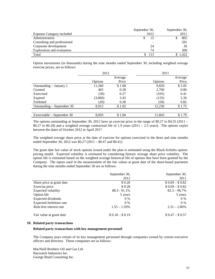|                                  | September 30, |     | September 30, |
|----------------------------------|---------------|-----|---------------|
| <b>Expense Category included</b> | 2012          |     | 2011          |
| Administration                   |               | 15  | 805           |
| Consulting and professional      |               |     | 281           |
| Corporate development            |               | 24  | 36            |
| Exploration and evaluation       |               | 74  | 300           |
| Total                            |               | 113 | .422          |

Option movements (in thousands) during the nine months ended September 30, including weighted average exercise prices, are as follows:

|                              | 2012           |         | 2011    |         |
|------------------------------|----------------|---------|---------|---------|
|                              |                | Average |         | Average |
|                              | <b>Options</b> | Price   | Options | Price   |
| Outstanding – January 1      | 11,560         | \$1.68  | 9,820   | \$2.05  |
| Granted                      | 465            | 0.28    | 2,700   | 0.80    |
| Exercised                    | (30)           | 0.27    | (105)   | 0.41    |
| Expired                      | (3,060)        | 3.43    | (135)   | 5.36    |
| Forfeited                    | (20)           | 0.28    | (50)    | 0.82    |
| Outstanding $-$ September 30 | 8.915          | \$1.02  | 12.230  | \$1.75  |
|                              |                |         |         |         |
| Exercisable – September 30   | 8.693          | \$1.04  | 11,843  | \$1.79  |

The options outstanding at September 30, 2012 have an exercise price in the range of \$0.27 to \$4.55 (2011 – \$0.27 to \$6.18) and a weighted average contractual life of 1.9 years (2011 – 2.5 years). The options expire between the dates of October 2012 to April 2017.

The weighted average share price at the date of exercise for options exercised in the three and nine months ended September 30, 2012 was \$0.27 (2011 – \$0.47 and \$0.41).

The grant date fair value of stock options issued under the plan is estimated using the Black-Scholes optionpricing model. Expected volatility is estimated by considering historic average share price volatility. The option life is estimated based on the weighted average historical life of options that have been granted by the Company. The inputs used in the measurement of the fair values at grant date of the share-based payments during the nine months ended September 30 are as follows:

|                           | September 30,   | September 30,   |
|---------------------------|-----------------|-----------------|
|                           | 2012            | 2011            |
| Share price at grant date | \$0.28          | $$0.69 - $0.82$ |
| Exercise price            | \$0.28          | $$0.69 - $0.82$ |
| Expected volatility       | $88.3 - 91.1\%$ | $82.3 - 96.7\%$ |
| Option life               | 5 years         | 5 years         |
| Expected dividends        | $0\%$           | $0\%$           |
| Expected forfeiture rate  | $0\%$           | $0\%$           |
| Risk-free interest rate   | $1.55 - 1.59\%$ | $2.31 - 2.80\%$ |
| Fair value at grant date  | $$0.18 - $0.19$ | $$0.47 - $0.57$ |

#### **10. Related party transactions**

#### **Related party transactions with key management personnel**

The Company pays certain of its key management personnel through companies owned by certain executive officers and directors. Those companies are as follows:

MacNeill Brothers Oil and Gas Ltd. Baywatch Industries Inc. George Read Consulting Inc.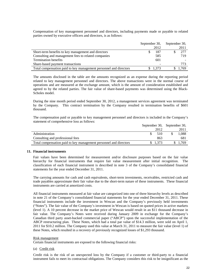Compensation of key management personnel and directors, including payments made or payable to related parties owned by executive officers and directors, is as follows:

|                                                                   | September 30, |       | September 30, |      |  |
|-------------------------------------------------------------------|---------------|-------|---------------|------|--|
|                                                                   |               | 2012  |               | 2011 |  |
| Short-term benefits to key management and directors               |               | 187   |               | 277  |  |
| Consulting and management fees to related companies               |               | 585   |               | 719  |  |
| <b>Termination benefits</b>                                       |               | 601   |               |      |  |
| Share-based payment transactions                                  |               |       |               | 773  |  |
| Total compensation paid to key management personnel and directors |               | 1.373 |               | .769 |  |

The amounts disclosed in the table are the amounts recognized as an expense during the reporting period related to key management personnel and directors. The above transactions were in the normal course of operations and are measured at the exchange amount, which is the amount of consideration established and agreed to by the related parties. The fair value of share-based payments was determined using the Black-Scholes model.

During the nine month period ended September 30, 2012, a management services agreement was terminated by the Company. This contract termination by the Company resulted in termination benefits of \$601 thousand.

The compensation paid or payable to key management personnel and directors is included in the Company's statement of comprehensive loss as follows:

|                                                                   | September 30, September 30, |          |  |       |
|-------------------------------------------------------------------|-----------------------------|----------|--|-------|
|                                                                   |                             | 2012     |  | 2011  |
| Administration                                                    |                             | 510      |  | 1.088 |
| Consulting and professional fees                                  |                             | 863      |  | 681   |
| Total compensation paid to key management personnel and directors |                             | \$ 1.373 |  | 1.769 |

#### **11. Financial instruments**

Fair values have been determined for measurement and/or disclosure purposes based on the fair value hierarchy for financial instruments that require fair value measurement after initial recognition. The classification of each financial instrument is described in note 3 of the Company's consolidated financial statements for the year ended December 31, 2011.

The carrying amounts for cash and cash equivalents, short-term investments, receivables, restricted cash and trade payables approximate their fair value due to the short-term nature of these instruments. These financial instruments are carried at amortized costs.

All financial instruments measured at fair value are categorized into one of three hierarchy levels as described in note 21 of the Company's consolidated financial statements for the year ended December 31, 2011. These financial instruments include the investment in Wescan and the Company's previously held investments ("Notes"). The fair value of the Company's investment in Wescan is based on quoted prices in active markets (level 1). A 10 percent decrease in the market price of Wescan would result in an \$11 thousand decrease in fair value. The Company's Notes were received during January 2009 in exchange for the Company's Canadian third party asset-backed commercial paper ("ABCP") upon the successful implementation of the ABCP restructuring plan. These Notes, which had a total par value of \$14.3 million, were sold on April 1, 2011 for \$10.2 million. The Company used this value at March 31, 2011 to measure the fair value (level 1) of these Notes, which resulted in a recovery of previously recognized losses of \$1,293 thousand.

#### Risk management

Certain financial instruments are exposed to the following financial risks:

## (a) Credit risk

Credit risk is the risk of an unexpected loss by the Company if a customer or third-party to a financial instrument fails to meet its contractual obligations. The Company considers this risk to be insignificant as the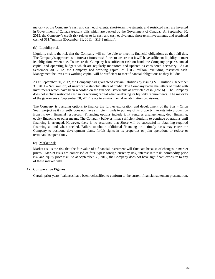majority of the Company's cash and cash equivalents, short-term investments, and restricted cash are invested in Government of Canada treasury bills which are backed by the Government of Canada. At September 30, 2012, the Company's credit risk relates to its cash and cash equivalents, short-term investments, and restricted cash of \$11.7million (December 31, 2011 – \$18.1 million).

## (b) Liquidity risk

Liquidity risk is the risk that the Company will not be able to meet its financial obligations as they fall due. The Company's approach is to forecast future cash flows to ensure that it will have sufficient liquidity to meet its obligations when due. To ensure the Company has sufficient cash on hand, the Company prepares annual capital and operating budgets which are regularly monitored and updated as considered necessary. As at September 30, 2012, the Company had working capital of \$10.2 million, excluding restricted cash. Management believes this working capital will be sufficient to meet financial obligations as they fall due.

As at September 30, 2012, the Company had guaranteed certain liabilities by issuing \$1.8 million (December 31, 2011 – \$2.6 million) of irrevocable standby letters of credit. The Company backs the letters of credit with investments which have been recorded on the financial statements as restricted cash (note 6). The Company does not include restricted cash in its working capital when analyzing its liquidity requirements. The majority of the guarantees at September 30, 2012 relate to environmental rehabilitation provisions.

The Company is pursuing options to finance the further exploration and development of the Star – Orion South project as it currently does not have sufficient funds to put any of its property interests into production from its own financial resources. Financing options include joint ventures arrangements, debt financing, equity financing or other means. The Company believes it has sufficient liquidity to continue operations until financing is arranged. However, there is no assurance that Shore will be successful in obtaining required financing as and when needed. Failure to obtain additional financing on a timely basis may cause the Company to postpone development plans, forfeit rights in its properties or joint operations or reduce or terminate its operations.

## (c) Market risk

Market risk is the risk that the fair value of a financial instrument will fluctuate because of changes in market prices. Market risks are comprised of four types: foreign currency risk, interest rate risk, commodity price risk and equity price risk. As at September 30, 2012, the Company does not have significant exposure to any of these market risks.

## **12. Comparative Figures**

Certain prior years' balances have been reclassified to conform to the current financial statement presentation.